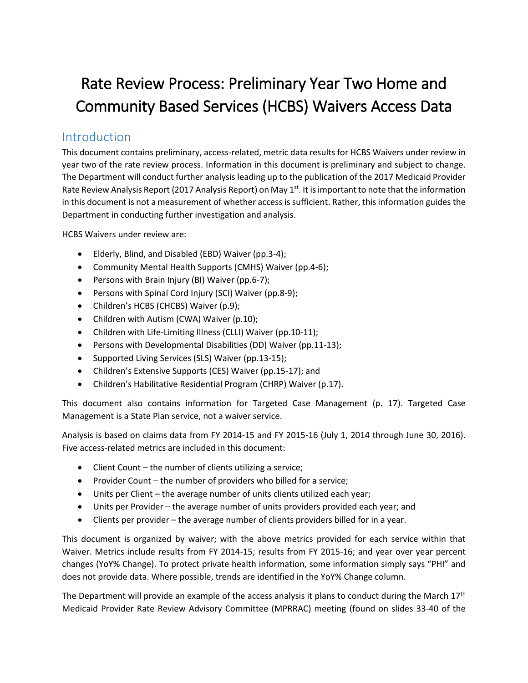# Rate Review Process: Preliminary Year Two Home and Community Based Services (HCBS) Waivers Access Data

# Introduction

This document contains preliminary, access-related, metric data results for HCBS Waivers under review in year two of the rate review process. Information in this document is preliminary and subject to change. The Department will conduct further analysis leading up to the publication of the 2017 Medicaid Provider Rate Review Analysis Report (2017 Analysis Report) on May 1<sup>st</sup>. It is important to note that the information in this document is not a measurement of whether access is sufficient. Rather, this information guides the Department in conducting further investigation and analysis.

HCBS Waivers under review are:

- Elderly, Blind, and Disabled (EBD) Waiver (pp.3-4);
- Community Mental Health Supports (CMHS) Waiver (pp.4-6);
- Persons with Brain Injury (BI) Waiver (pp.6-7);
- Persons with Spinal Cord Injury (SCI) Waiver (pp.8-9);
- Children's HCBS (CHCBS) Waiver (p.9);
- Children with Autism (CWA) Waiver (p.10);
- Children with Life-Limiting Illness (CLLI) Waiver (pp.10-11);
- Persons with Developmental Disabilities (DD) Waiver (pp.11-13);
- Supported Living Services (SLS) Waiver (pp.13-15);
- Children's Extensive Supports (CES) Waiver (pp.15-17); and
- Children's Habilitative Residential Program (CHRP) Waiver (p.17).

This document also contains information for Targeted Case Management (p. 17). Targeted Case Management is a State Plan service, not a waiver service.

Analysis is based on claims data from FY 2014-15 and FY 2015-16 (July 1, 2014 through June 30, 2016). Five access-related metrics are included in this document:

- Client Count the number of clients utilizing a service;
- Provider Count the number of providers who billed for a service;
- Units per Client the average number of units clients utilized each year;
- Units per Provider the average number of units providers provided each year; and
- Clients per provider the average number of clients providers billed for in a year.

This document is organized by waiver; with the above metrics provided for each service within that Waiver. Metrics include results from FY 2014-15; results from FY 2015-16; and year over year percent changes (YoY% Change). To protect private health information, some information simply says "PHI" and does not provide data. Where possible, trends are identified in the YoY% Change column.

The Department will provide an example of the access analysis it plans to conduct during the March  $17<sup>th</sup>$ Medicaid Provider Rate Review Advisory Committee (MPRRAC) meeting (found on slides 33-40 of the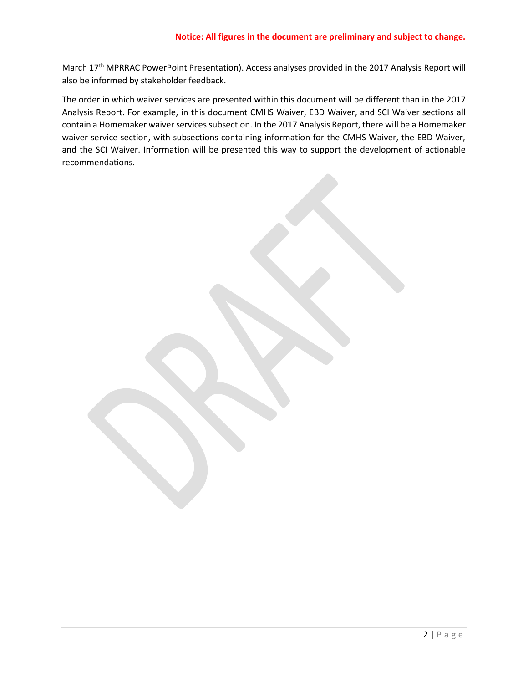March 17<sup>th</sup> MPRRAC PowerPoint Presentation). Access analyses provided in the 2017 Analysis Report will also be informed by stakeholder feedback.

The order in which waiver services are presented within this document will be different than in the 2017 Analysis Report. For example, in this document CMHS Waiver, EBD Waiver, and SCI Waiver sections all contain a Homemaker waiver services subsection. In the 2017 Analysis Report, there will be a Homemaker waiver service section, with subsections containing information for the CMHS Waiver, the EBD Waiver, and the SCI Waiver. Information will be presented this way to support the development of actionable recommendations.

2 | P a g e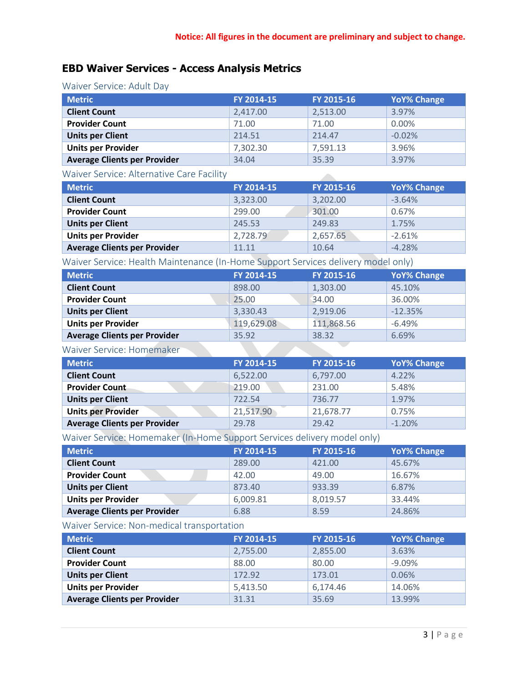$\mathcal{L}^{\mathcal{L}}$ 

# **EBD Waiver Services - Access Analysis Metrics**

# Waiver Service: Adult Day

| <b>Metric</b>                       | FY 2014-15 | FY 2015-16 | <b>YoY% Change</b> |
|-------------------------------------|------------|------------|--------------------|
| <b>Client Count</b>                 | 2,417.00   | 2,513.00   | 3.97%              |
| <b>Provider Count</b>               | 71.00      | 71.00      | 0.00%              |
| <b>Units per Client</b>             | 214.51     | 214.47     | $-0.02%$           |
| <b>Units per Provider</b>           | 7,302.30   | 7,591.13   | 3.96%              |
| <b>Average Clients per Provider</b> | 34.04      | 35.39      | 3.97%              |

#### Waiver Service: Alternative Care Facility

| <b>Metric</b>                       | FY 2014-15 | FY 2015-16 | <b>YoY% Change</b> |
|-------------------------------------|------------|------------|--------------------|
| <b>Client Count</b>                 | 3,323.00   | 3,202.00   | $-3.64%$           |
| <b>Provider Count</b>               | 299.00     | 301.00     | 0.67%              |
| <b>Units per Client</b>             | 245.53     | 249.83     | 1.75%              |
| <b>Units per Provider</b>           | 2,728.79   | 2,657.65   | $-2.61%$           |
| <b>Average Clients per Provider</b> | 11.11      | 10.64      | $-4.28%$           |

Waiver Service: Health Maintenance (In-Home Support Services delivery model only)

| <b>Metric</b>                       | FY 2014-15 | FY 2015-16 | <b>YoY% Change</b> |
|-------------------------------------|------------|------------|--------------------|
| <b>Client Count</b>                 | 898.00     | 1,303.00   | 45.10%             |
| <b>Provider Count</b>               | 25.00      | 34.00      | 36.00%             |
| <b>Units per Client</b>             | 3,330.43   | 2,919.06   | $-12.35%$          |
| <b>Units per Provider</b>           | 119,629.08 | 111,868.56 | $-6.49%$           |
| <b>Average Clients per Provider</b> | 35.92      | 38.32      | 6.69%              |
|                                     |            |            |                    |

#### Waiver Service: Homemaker

| <b>Metric</b>                       | FY 2014-15 | FY 2015-16 | <b>YoY% Change</b> |
|-------------------------------------|------------|------------|--------------------|
| <b>Client Count</b>                 | 6,522.00   | 6,797.00   | 4.22%              |
| <b>Provider Count</b>               | 219.00     | 231.00     | 5.48%              |
| <b>Units per Client</b>             | 722.54     | 736.77     | 1.97%              |
| <b>Units per Provider</b>           | 21,517.90  | 21,678.77  | 0.75%              |
| <b>Average Clients per Provider</b> | 29.78      | 29.42      | $-1.20%$           |

**The Committee of the Committee** 

Waiver Service: Homemaker (In-Home Support Services delivery model only)

| <b>Metric</b>                       | FY 2014-15 | FY 2015-16 | <b>YoY% Change</b> |
|-------------------------------------|------------|------------|--------------------|
| <b>Client Count</b>                 | 289.00     | 421.00     | 45.67%             |
| <b>Provider Count</b>               | 42.00      | 49.00      | 16.67%             |
| <b>Units per Client</b>             | 873.40     | 933.39     | 6.87%              |
| <b>Units per Provider</b>           | 6,009.81   | 8,019.57   | 33.44%             |
| <b>Average Clients per Provider</b> | 6.88       | 8.59       | 24.86%             |

### Waiver Service: Non-medical transportation

| <b>Metric</b>                       | FY 2014-15 | FY 2015-16 | <b>YoY% Change</b> |
|-------------------------------------|------------|------------|--------------------|
| <b>Client Count</b>                 | 2,755.00   | 2,855.00   | 3.63%              |
| <b>Provider Count</b>               | 88.00      | 80.00      | $-9.09\%$          |
| <b>Units per Client</b>             | 172.92     | 173.01     | 0.06%              |
| <b>Units per Provider</b>           | 5,413.50   | 6,174.46   | 14.06%             |
| <b>Average Clients per Provider</b> | 31.31      | 35.69      | 13.99%             |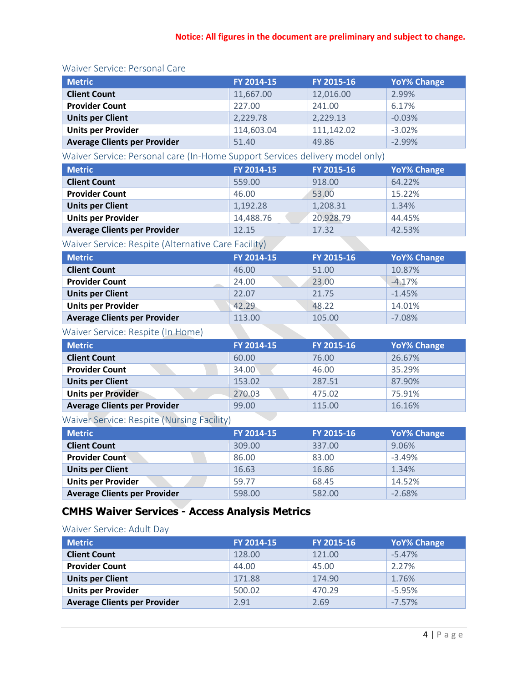### Waiver Service: Personal Care

| <b>Metric</b>                       | FY 2014-15 | FY 2015-16 | <b>YoY% Change</b> |
|-------------------------------------|------------|------------|--------------------|
| <b>Client Count</b>                 | 11,667.00  | 12,016.00  | 2.99%              |
| <b>Provider Count</b>               | 227.00     | 241.00     | 6.17%              |
| <b>Units per Client</b>             | 2,229.78   | 2,229.13   | $-0.03%$           |
| <b>Units per Provider</b>           | 114,603.04 | 111,142.02 | $-3.02%$           |
| <b>Average Clients per Provider</b> | 51.40      | 49.86      | $-2.99%$           |

Waiver Service: Personal care (In-Home Support Services delivery model only)

| <b>Metric</b>                       | FY 2014-15 | FY 2015-16 | <b>YoY% Change</b> |
|-------------------------------------|------------|------------|--------------------|
| <b>Client Count</b>                 | 559.00     | 918.00     | 64.22%             |
| <b>Provider Count</b>               | 46.00      | 53.00      | 15.22%             |
| <b>Units per Client</b>             | 1,192.28   | 1,208.31   | 1.34%              |
| <b>Units per Provider</b>           | 14,488.76  | 20,928.79  | 44.45%             |
| <b>Average Clients per Provider</b> | 12.15      | 17.32      | 42.53%             |

# Waiver Service: Respite (Alternative Care Facility)

| <b>Metric</b>                       | FY 2014-15 | FY 2015-16 | <b>YoY% Change</b> |
|-------------------------------------|------------|------------|--------------------|
| <b>Client Count</b>                 | 46.00      | 51.00      | 10.87%             |
| <b>Provider Count</b>               | 24.00      | 23.00      | $-4.17%$           |
| <b>Units per Client</b>             | 22.07      | 21.75      | $-1.45%$           |
| <b>Units per Provider</b>           | 42.29      | 48.22      | 14.01%             |
| <b>Average Clients per Provider</b> | 113.00     | 105.00     | $-7.08%$           |

### Waiver Service: Respite (In Home)

| <b>Metric</b>                       | FY 2014-15 | FY 2015-16 | <b>YoY% Change</b> |
|-------------------------------------|------------|------------|--------------------|
| <b>Client Count</b>                 | 60.00      | 76.00      | 26.67%             |
| <b>Provider Count</b>               | 34.00      | 46.00      | 35.29%             |
| <b>Units per Client</b>             | 153.02     | 287.51     | 87.90%             |
| <b>Units per Provider</b>           | 270.03     | 475.02     | 75.91%             |
| <b>Average Clients per Provider</b> | 99.00      | 115.00     | 16.16%             |

# Waiver Service: Respite (Nursing Facility)

| <b>Metric</b>                       | FY 2014-15 | FY 2015-16 | <b>YoY% Change</b> |
|-------------------------------------|------------|------------|--------------------|
| <b>Client Count</b>                 | 309.00     | 337.00     | 9.06%              |
| <b>Provider Count</b>               | 86.00      | 83.00      | $-3.49%$           |
| <b>Units per Client</b>             | 16.63      | 16.86      | 1.34%              |
| <b>Units per Provider</b>           | 59.77      | 68.45      | 14.52%             |
| <b>Average Clients per Provider</b> | 598.00     | 582.00     | $-2.68%$           |

# **CMHS Waiver Services - Access Analysis Metrics**

### Waiver Service: Adult Day

| <b>Metric</b>                       | FY 2014-15 | FY 2015-16 | <b>YoY% Change</b> |
|-------------------------------------|------------|------------|--------------------|
| <b>Client Count</b>                 | 128.00     | 121.00     | $-5.47%$           |
| <b>Provider Count</b>               | 44.00      | 45.00      | 2.27%              |
| <b>Units per Client</b>             | 171.88     | 174.90     | 1.76%              |
| <b>Units per Provider</b>           | 500.02     | 470.29     | $-5.95%$           |
| <b>Average Clients per Provider</b> | 2.91       | 2.69       | $-7.57%$           |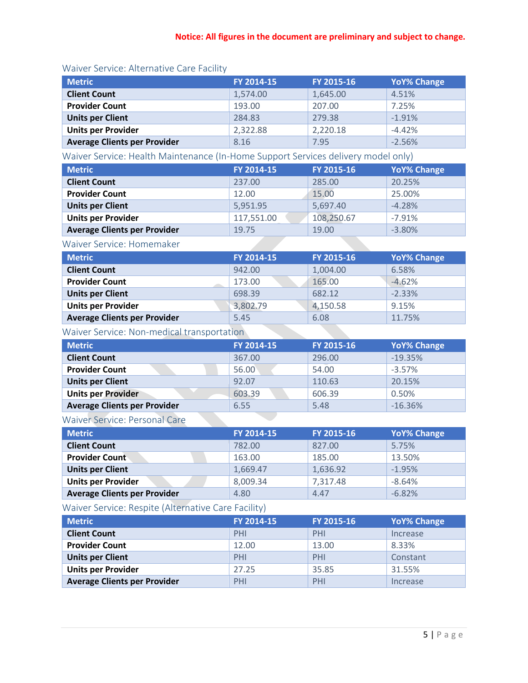| <b>Metric</b>                       | FY 2014-15 | FY 2015-16 | <b>YoY% Change</b> |
|-------------------------------------|------------|------------|--------------------|
| <b>Client Count</b>                 | 1,574.00   | 1,645.00   | 4.51%              |
| <b>Provider Count</b>               | 193.00     | 207.00     | 7.25%              |
| <b>Units per Client</b>             | 284.83     | 279.38     | $-1.91%$           |
| <b>Units per Provider</b>           | 2,322.88   | 2,220.18   | $-4.42%$           |
| <b>Average Clients per Provider</b> | 8.16       | 7.95       | $-2.56%$           |

#### Waiver Service: Alternative Care Facility

Waiver Service: Health Maintenance (In-Home Support Services delivery model only)

| <b>Metric</b>                       | FY 2014-15 | FY 2015-16 | <b>YoY% Change</b> |
|-------------------------------------|------------|------------|--------------------|
| <b>Client Count</b>                 | 237.00     | 285.00     | 20.25%             |
| <b>Provider Count</b>               | 12.00      | 15.00      | 25.00%             |
| <b>Units per Client</b>             | 5,951.95   | 5.697.40   | $-4.28%$           |
| <b>Units per Provider</b>           | 117,551.00 | 108,250.67 | $-7.91%$           |
| <b>Average Clients per Provider</b> | 19.75      | 19.00      | $-3.80%$           |

#### Waiver Service: Homemaker

| <b>Metric</b>                       | FY 2014-15 | FY 2015-16 | <b>YoY% Change</b> |
|-------------------------------------|------------|------------|--------------------|
| <b>Client Count</b>                 | 942.00     | 1,004.00   | 6.58%              |
| <b>Provider Count</b>               | 173.00     | 165.00     | $-4.62%$           |
| <b>Units per Client</b>             | 698.39     | 682.12     | $-2.33%$           |
| <b>Units per Provider</b>           | 3,802.79   | 4,150.58   | 9.15%              |
| <b>Average Clients per Provider</b> | 5.45       | 6.08       | 11.75%             |

### Waiver Service: Non-medical transportation

| <b>Metric</b>                       | FY 2014-15 | FY 2015-16 | <b>YoY% Change</b> |
|-------------------------------------|------------|------------|--------------------|
| <b>Client Count</b>                 | 367.00     | 296.00     | $-19.35%$          |
| <b>Provider Count</b>               | 56.00      | 54.00      | $-3.57%$           |
| <b>Units per Client</b>             | 92.07      | 110.63     | 20.15%             |
| <b>Units per Provider</b>           | 603.39     | 606.39     | 0.50%              |
| <b>Average Clients per Provider</b> | 6.55       | 5.48       | $-16.36%$          |

# Waiver Service: Personal Care

| <b>Metric</b>                       | FY 2014-15 | FY 2015-16 | <b>YoY% Change</b> |
|-------------------------------------|------------|------------|--------------------|
| <b>Client Count</b>                 | 782.00     | 827.00     | 5.75%              |
| <b>Provider Count</b>               | 163.00     | 185.00     | 13.50%             |
| <b>Units per Client</b>             | 1,669.47   | 1,636.92   | $-1.95%$           |
| <b>Units per Provider</b>           | 8,009.34   | 7,317.48   | $-8.64%$           |
| <b>Average Clients per Provider</b> | 4.80       | 4.47       | $-6.82%$           |

Waiver Service: Respite (Alternative Care Facility)

| <b>Metric</b>                       | FY 2014-15 | FY 2015-16 | <b>YoY% Change</b> |
|-------------------------------------|------------|------------|--------------------|
| <b>Client Count</b>                 | PHI        | PHI        | Increase           |
| <b>Provider Count</b>               | 12.00      | 13.00      | 8.33%              |
| <b>Units per Client</b>             | PHI        | PHI        | Constant           |
| <b>Units per Provider</b>           | 27.25      | 35.85      | 31.55%             |
| <b>Average Clients per Provider</b> | PHI        | PHI        | Increase           |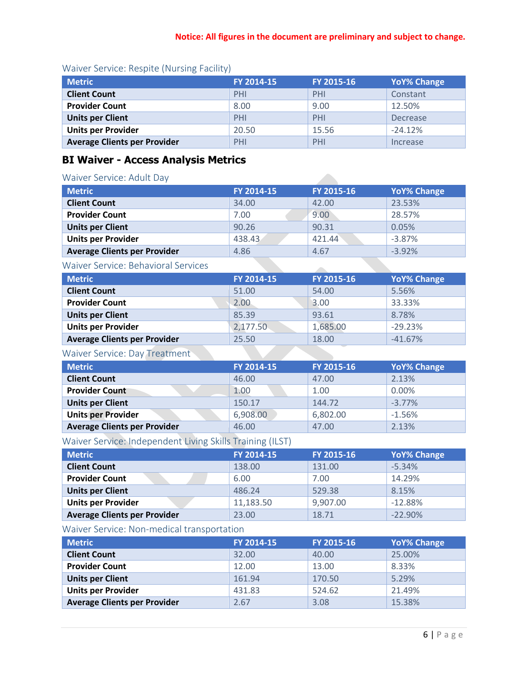| <b>Metric</b>                       | FY 2014-15 | FY 2015-16 | <b>YoY% Change</b> |
|-------------------------------------|------------|------------|--------------------|
| <b>Client Count</b>                 | PHI        | PHI        | Constant           |
| <b>Provider Count</b>               | 8.00       | 9.00       | 12.50%             |
| <b>Units per Client</b>             | PHI        | PHI        | Decrease           |
| <b>Units per Provider</b>           | 20.50      | 15.56      | $-24.12%$          |
| <b>Average Clients per Provider</b> | PHI        | PHI        | Increase           |

## Waiver Service: Respite (Nursing Facility)

# **BI Waiver - Access Analysis Metrics**

#### Waiver Service: Adult Day

| <b>Metric</b>                       | FY 2014-15 | FY 2015-16 | <b>YoY% Change</b> |
|-------------------------------------|------------|------------|--------------------|
| <b>Client Count</b>                 | 34.00      | 42.00      | 23.53%             |
| <b>Provider Count</b>               | 7.00       | 9.00       | 28.57%             |
| <b>Units per Client</b>             | 90.26      | 90.31      | 0.05%              |
| <b>Units per Provider</b>           | 438.43     | 421.44     | $-3.87%$           |
| <b>Average Clients per Provider</b> | 4.86       | 4.67       | $-3.92%$           |
| Waiver Service: Behavioral Services |            |            |                    |

#### Waiver Service: Behavioral Services

| <b>Metric</b>                       | FY 2014-15 | FY 2015-16 | <b>YoY% Change</b> |
|-------------------------------------|------------|------------|--------------------|
| <b>Client Count</b>                 | 51.00      | 54.00      | 5.56%              |
| <b>Provider Count</b>               | 2.00       | 3.00       | 33.33%             |
| <b>Units per Client</b>             | 85.39      | 93.61      | 8.78%              |
| <b>Units per Provider</b>           | 2,177.50   | 1,685.00   | $-29.23%$          |
| <b>Average Clients per Provider</b> | 25.50      | 18.00      | $-41.67%$          |
|                                     |            |            |                    |

### Waiver Service: Day Treatment

| <b>Metric</b>                       | FY 2014-15 | FY 2015-16 | <b>YoY% Change</b> |
|-------------------------------------|------------|------------|--------------------|
| <b>Client Count</b>                 | 46.00      | 47.00      | 2.13%              |
| <b>Provider Count</b>               | 1.00       | 1.00       | $0.00\%$           |
| <b>Units per Client</b>             | 150.17     | 144.72     | $-3.77\%$          |
| <b>Units per Provider</b>           | 6,908.00   | 6,802.00   | $-1.56%$           |
| <b>Average Clients per Provider</b> | 46.00      | 47.00      | 2.13%              |

# Waiver Service: Independent Living Skills Training (ILST)

| <b>Metric</b>                       | FY 2014-15 | FY 2015-16 | <b>YoY% Change</b> |
|-------------------------------------|------------|------------|--------------------|
| <b>Client Count</b>                 | 138.00     | 131.00     | $-5.34%$           |
| <b>Provider Count</b>               | 6.00       | 7.00       | 14.29%             |
| <b>Units per Client</b>             | 486.24     | 529.38     | 8.15%              |
| <b>Units per Provider</b>           | 11,183.50  | 9,907.00   | $-12.88%$          |
| <b>Average Clients per Provider</b> | 23.00      | 18.71      | $-22.90%$          |

#### Waiver Service: Non-medical transportation

| <b>Metric</b>                       | FY 2014-15 | FY 2015-16 | <b>YoY% Change</b> |
|-------------------------------------|------------|------------|--------------------|
| <b>Client Count</b>                 | 32.00      | 40.00      | 25.00%             |
| <b>Provider Count</b>               | 12.00      | 13.00      | 8.33%              |
| <b>Units per Client</b>             | 161.94     | 170.50     | 5.29%              |
| <b>Units per Provider</b>           | 431.83     | 524.62     | 21.49%             |
| <b>Average Clients per Provider</b> | 2.67       | 3.08       | 15.38%             |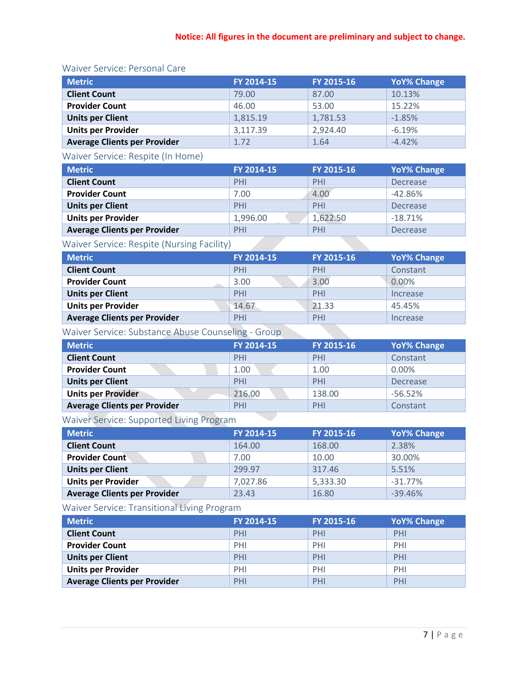### Waiver Service: Personal Care

| <b>Metric</b>                       | FY 2014-15 | FY 2015-16 | <b>YoY% Change</b> |
|-------------------------------------|------------|------------|--------------------|
| <b>Client Count</b>                 | 79.00      | 87.00      | 10.13%             |
| <b>Provider Count</b>               | 46.00      | 53.00      | 15.22%             |
| <b>Units per Client</b>             | 1,815.19   | 1,781.53   | $-1.85%$           |
| <b>Units per Provider</b>           | 3,117.39   | 2,924.40   | $-6.19%$           |
| <b>Average Clients per Provider</b> | 1.72       | 1.64       | $-4.42%$           |

# Waiver Service: Respite (In Home)

| <b>Metric</b>                       | FY 2014-15 | FY 2015-16 | <b>YoY% Change</b> |
|-------------------------------------|------------|------------|--------------------|
| <b>Client Count</b>                 | PHI        | PHI        | Decrease           |
| <b>Provider Count</b>               | 7.00       | 4.00       | $-42.86%$          |
| <b>Units per Client</b>             | PHI        | PHI        | Decrease           |
| <b>Units per Provider</b>           | 1,996.00   | 1,622.50   | $-18.71%$          |
| <b>Average Clients per Provider</b> | PHI        | PHI        | Decrease           |

# Waiver Service: Respite (Nursing Facility)

| <b>Metric</b>                       | FY 2014-15 | FY 2015-16 | <b>YoY% Change</b> |
|-------------------------------------|------------|------------|--------------------|
| <b>Client Count</b>                 | PHI        | PHI        | Constant           |
| <b>Provider Count</b>               | 3.00       | 3.00       | 0.00%              |
| <b>Units per Client</b>             | PHI        | PHI        | Increase           |
| <b>Units per Provider</b>           | 14.67      | 21.33      | 45.45%             |
| <b>Average Clients per Provider</b> | PHI        | PHI        | Increase           |

# Waiver Service: Substance Abuse Counseling - Group

| <b>Metric</b>                       | FY 2014-15 | FY 2015-16 | <b>YoY% Change</b> |
|-------------------------------------|------------|------------|--------------------|
| <b>Client Count</b>                 | PHI        | PHI        | Constant           |
| <b>Provider Count</b>               | 1.00       | 1.00       | 0.00%              |
| <b>Units per Client</b>             | PHI        | PHI        | Decrease           |
| <b>Units per Provider</b>           | 216.00     | 138.00     | $-56.52%$          |
| <b>Average Clients per Provider</b> | PHI        | PHI        | Constant           |

# Waiver Service: Supported Living Program

| <b>Metric</b>                       | FY 2014-15 | FY 2015-16 | <b>YoY% Change</b> |
|-------------------------------------|------------|------------|--------------------|
| <b>Client Count</b>                 | 164.00     | 168.00     | 2.38%              |
| <b>Provider Count</b>               | 7.00       | 10.00      | 30.00%             |
| <b>Units per Client</b>             | 299.97     | 317.46     | 5.51%              |
| <b>Units per Provider</b>           | 7,027.86   | 5,333.30   | $-31.77%$          |
| <b>Average Clients per Provider</b> | 23.43      | 16.80      | $-39.46%$          |

# Waiver Service: Transitional Living Program

| <b>Metric</b>                       | FY 2014-15 | FY 2015-16 | <b>YoY% Change</b> |
|-------------------------------------|------------|------------|--------------------|
| <b>Client Count</b>                 | PHI        | PHI        | PHI                |
| <b>Provider Count</b>               | PHI        | PHI        | PHI                |
| <b>Units per Client</b>             | PHI        | PHI        | PHI                |
| <b>Units per Provider</b>           | PHI        | PHI        | PHI                |
| <b>Average Clients per Provider</b> | PHI        | PHI        | PHI                |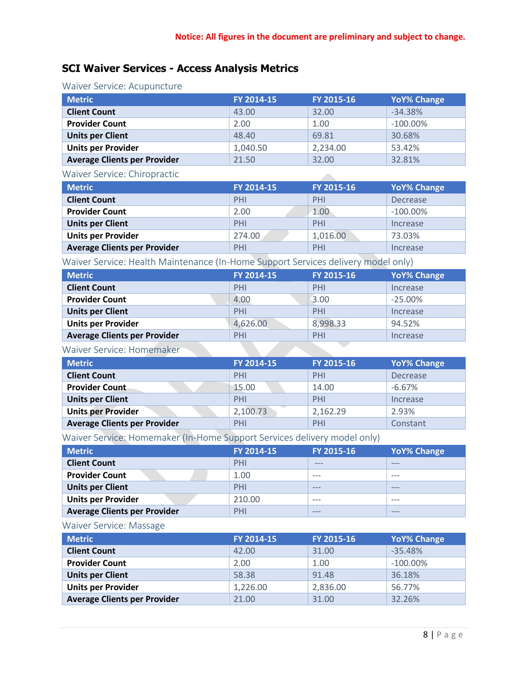$\mathcal{L}_{\text{max}}$ 

# **SCI Waiver Services - Access Analysis Metrics**

### Waiver Service: Acupuncture

| <b>Metric</b>                       | FY 2014-15 | FY 2015-16 | <b>YoY% Change</b> |
|-------------------------------------|------------|------------|--------------------|
| <b>Client Count</b>                 | 43.00      | 32.00      | $-34.38%$          |
| <b>Provider Count</b>               | 2.00       | 1.00       | $-100.00\%$        |
| <b>Units per Client</b>             | 48.40      | 69.81      | 30.68%             |
| <b>Units per Provider</b>           | 1,040.50   | 2,234.00   | 53.42%             |
| <b>Average Clients per Provider</b> | 21.50      | 32.00      | 32.81%             |

#### Waiver Service: Chiropractic

| <b>Metric</b>                       | FY 2014-15 | FY 2015-16 | <b>YoY% Change</b> |
|-------------------------------------|------------|------------|--------------------|
| <b>Client Count</b>                 | PHI        | PHI        | Decrease           |
| <b>Provider Count</b>               | 2.00       | 1.00       | $-100.00\%$        |
| <b>Units per Client</b>             | PHI        | PHI        | Increase           |
| <b>Units per Provider</b>           | 274.00     | 1,016.00   | 73.03%             |
| <b>Average Clients per Provider</b> | PHI        | PHI        | Increase           |

Waiver Service: Health Maintenance (In-Home Support Services delivery model only)

| <b>Metric</b>                       | FY 2014-15 | FY 2015-16 | <b>YoY% Change</b> |
|-------------------------------------|------------|------------|--------------------|
| <b>Client Count</b>                 | PHI        | PHI        | Increase           |
| <b>Provider Count</b>               | 4.00       | 3.00       | $-25.00\%$         |
| <b>Units per Client</b>             | PHI        | PHI        | Increase           |
| <b>Units per Provider</b>           | 4,626.00   | 8,998.33   | 94.52%             |
| <b>Average Clients per Provider</b> | PHI        | PHI        | Increase           |
|                                     |            |            |                    |

#### Waiver Service: Homemaker

| <b>Metric</b>                       | FY 2014-15 | FY 2015-16 | <b>YoY% Change</b> |
|-------------------------------------|------------|------------|--------------------|
| <b>Client Count</b>                 | PHI        | PHI        | Decrease           |
| <b>Provider Count</b>               | 15.00      | 14.00      | $-6.67%$           |
| <b>Units per Client</b>             | PHI        | PHI        | Increase           |
| <b>Units per Provider</b>           | 2,100.73   | 2,162.29   | 2.93%              |
| <b>Average Clients per Provider</b> | PHI        | PHI        | Constant           |

**The Committee of the Committee** 

Waiver Service: Homemaker (In-Home Support Services delivery model only)

| <b>Metric</b>                       | FY 2014-15 | FY 2015-16 | <b>YoY% Change</b> |
|-------------------------------------|------------|------------|--------------------|
| <b>Client Count</b>                 | PHI        | $- - -$    | $- - -$            |
| <b>Provider Count</b>               | 1.00       | $- - -$    | ---                |
| <b>Units per Client</b>             | PHI        | $- - -$    | ---                |
| <b>Units per Provider</b>           | 210.00     | $- - -$    | $- - -$            |
| <b>Average Clients per Provider</b> | PHI        | $- - -$    | $---$              |

#### Waiver Service: Massage

| <b>Metric</b>                       | FY 2014-15 | FY 2015-16 | <b>YoY% Change</b> |
|-------------------------------------|------------|------------|--------------------|
| <b>Client Count</b>                 | 42.00      | 31.00      | $-35.48%$          |
| <b>Provider Count</b>               | 2.00       | 1.00       | $-100.00\%$        |
| <b>Units per Client</b>             | 58.38      | 91.48      | 36.18%             |
| <b>Units per Provider</b>           | 1,226.00   | 2,836.00   | 56.77%             |
| <b>Average Clients per Provider</b> | 21.00      | 31.00      | 32.26%             |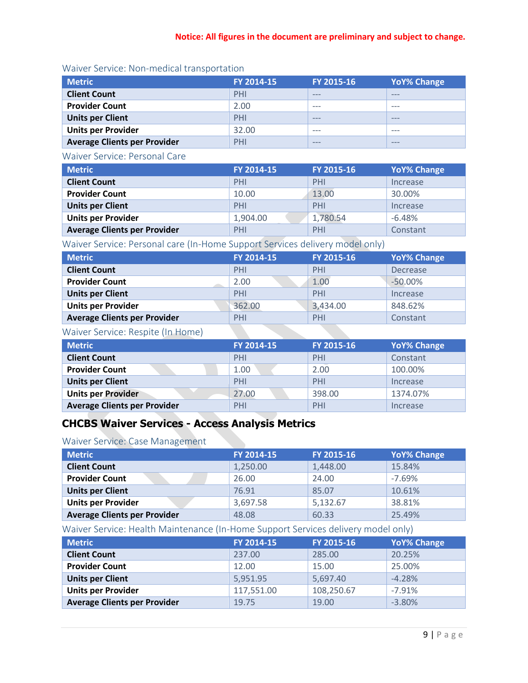| <b>Metric</b>                       | FY 2014-15 | FY 2015-16 | <b>YoY% Change</b> |
|-------------------------------------|------------|------------|--------------------|
| <b>Client Count</b>                 | PHI        | $- - -$    | ---                |
| <b>Provider Count</b>               | 2.00       | $- - -$    | $- - -$            |
| <b>Units per Client</b>             | PHI        | $- - -$    | $- - -$            |
| <b>Units per Provider</b>           | 32.00      | $- - -$    | $- - -$            |
| <b>Average Clients per Provider</b> | PHI        | $- - -$    | $- - -$            |

# Waiver Service: Non-medical transportation

### Waiver Service: Personal Care

| <b>Metric</b>                       | FY 2014-15 | FY 2015-16 | <b>YoY% Change</b> |
|-------------------------------------|------------|------------|--------------------|
| <b>Client Count</b>                 | PHI        | PHI        | Increase           |
| <b>Provider Count</b>               | 10.00      | 13.00      | 30.00%             |
| <b>Units per Client</b>             | PHI        | PHI        | Increase           |
| <b>Units per Provider</b>           | 1,904.00   | 1,780.54   | $-6.48%$           |
| <b>Average Clients per Provider</b> | PHI        | PHI        | Constant           |

Waiver Service: Personal care (In-Home Support Services delivery model only)

| <b>Metric</b>                       | FY 2014-15 | FY 2015-16 | <b>YoY% Change</b> |
|-------------------------------------|------------|------------|--------------------|
| <b>Client Count</b>                 | PHI        | PHI        | Decrease           |
| <b>Provider Count</b>               | 2.00       | 1.00       | $-50.00%$          |
| <b>Units per Client</b>             | PHI        | PHI        | Increase           |
| <b>Units per Provider</b>           | 362.00     | 3,434.00   | 848.62%            |
| <b>Average Clients per Provider</b> | PHI        | PHI        | Constant           |

# Waiver Service: Respite (In Home)

| <b>Metric</b>                | FY 2014-15 | FY 2015-16 | <b>YoY% Change</b> |
|------------------------------|------------|------------|--------------------|
| <b>Client Count</b>          | PHI        | PHI        | Constant           |
| <b>Provider Count</b>        | 1.00       | 2.00       | 100.00%            |
| <b>Units per Client</b>      | PHI        | PHI        | Increase           |
| <b>Units per Provider</b>    | 27.00      | 398.00     | 1374.07%           |
| Average Clients per Provider | PHI        | PHI        | Increase           |

# **CHCBS Waiver Services - Access Analysis Metrics**

#### Waiver Service: Case Management

| <b>Metric</b>                       | FY 2014-15 | FY 2015-16 | <b>YoY% Change</b> |
|-------------------------------------|------------|------------|--------------------|
| <b>Client Count</b>                 | 1,250.00   | 1,448.00   | 15.84%             |
| <b>Provider Count</b>               | 26.00      | 24.00      | $-7.69%$           |
| <b>Units per Client</b>             | 76.91      | 85.07      | 10.61%             |
| <b>Units per Provider</b>           | 3,697.58   | 5,132.67   | 38.81%             |
| <b>Average Clients per Provider</b> | 48.08      | 60.33      | 25.49%             |

Waiver Service: Health Maintenance (In-Home Support Services delivery model only)

| <b>Metric</b>                       | FY 2014-15 | FY 2015-16 | <b>YoY% Change</b> |
|-------------------------------------|------------|------------|--------------------|
| <b>Client Count</b>                 | 237.00     | 285.00     | 20.25%             |
| <b>Provider Count</b>               | 12.00      | 15.00      | 25.00%             |
| <b>Units per Client</b>             | 5,951.95   | 5,697.40   | $-4.28%$           |
| <b>Units per Provider</b>           | 117,551.00 | 108,250.67 | $-7.91%$           |
| <b>Average Clients per Provider</b> | 19.75      | 19.00      | $-3.80%$           |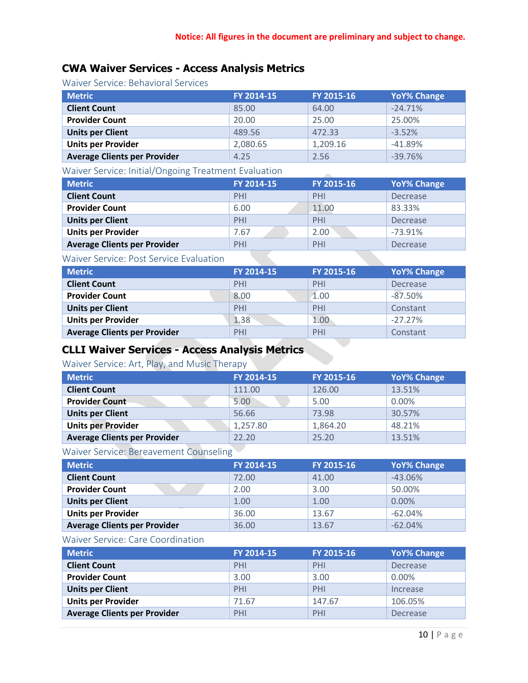# **CWA Waiver Services - Access Analysis Metrics**

Waiver Service: Behavioral Services

| <b>Metric</b>                       | FY 2014-15 | FY 2015-16 | <b>YoY% Change</b> |
|-------------------------------------|------------|------------|--------------------|
| <b>Client Count</b>                 | 85.00      | 64.00      | $-24.71%$          |
| <b>Provider Count</b>               | 20.00      | 25.00      | 25.00%             |
| <b>Units per Client</b>             | 489.56     | 472.33     | $-3.52%$           |
| <b>Units per Provider</b>           | 2,080.65   | 1,209.16   | $-41.89%$          |
| <b>Average Clients per Provider</b> | 4.25       | 2.56       | $-39.76%$          |

# Waiver Service: Initial/Ongoing Treatment Evaluation

| <b>Metric</b>                       | FY 2014-15 | FY 2015-16 | <b>YoY% Change</b> |
|-------------------------------------|------------|------------|--------------------|
| <b>Client Count</b>                 | PHI        | PHI        | Decrease           |
| <b>Provider Count</b>               | 6.00       | 11.00      | 83.33%             |
| <b>Units per Client</b>             | PHI        | PHI        | Decrease           |
| <b>Units per Provider</b>           | 7.67       | 2.00       | $-73.91%$          |
| <b>Average Clients per Provider</b> | PHI        | PHI        | Decrease           |

#### Waiver Service: Post Service Evaluation

| <b>Metric</b>                       | FY 2014-15 | FY 2015-16 | <b>YoY% Change</b> |
|-------------------------------------|------------|------------|--------------------|
| <b>Client Count</b>                 | PHI        | PHI        | Decrease           |
| <b>Provider Count</b>               | 8.00       | 1.00       | $-87.50%$          |
| <b>Units per Client</b>             | PHI        | PHI        | Constant           |
| <b>Units per Provider</b>           | 1.38       | 1.00       | $-27.27\%$         |
| <b>Average Clients per Provider</b> | PHI        | PHI        | Constant           |

# **CLLI Waiver Services - Access Analysis Metrics**

# Waiver Service: Art, Play, and Music Therapy

| <b>Metric</b>                       | FY 2014-15 | FY 2015-16 | <b>YoY% Change</b> |
|-------------------------------------|------------|------------|--------------------|
| <b>Client Count</b>                 | 111.00     | 126.00     | 13.51%             |
| <b>Provider Count</b>               | 5.00       | 5.00       | 0.00%              |
| <b>Units per Client</b>             | 56.66      | 73.98      | 30.57%             |
| <b>Units per Provider</b>           | 1,257.80   | 1,864.20   | 48.21%             |
| <b>Average Clients per Provider</b> | 22.20      | 25.20      | 13.51%             |

# Waiver Service: Bereavement Counseling

| <b>Metric</b>                       | FY 2014-15 | FY 2015-16 | <b>YoY% Change</b> |
|-------------------------------------|------------|------------|--------------------|
| <b>Client Count</b>                 | 72.00      | 41.00      | $-43.06%$          |
| <b>Provider Count</b>               | 2.00       | 3.00       | 50.00%             |
| <b>Units per Client</b>             | 1.00       | 1.00       | 0.00%              |
| <b>Units per Provider</b>           | 36.00      | 13.67      | $-62.04%$          |
| <b>Average Clients per Provider</b> | 36.00      | 13.67      | $-62.04%$          |

#### Waiver Service: Care Coordination

| <b>Metric</b>                       | FY 2014-15 | FY 2015-16 | <b>YoY% Change</b> |
|-------------------------------------|------------|------------|--------------------|
| <b>Client Count</b>                 | PHI        | PHI        | Decrease           |
| <b>Provider Count</b>               | 3.00       | 3.00       | $0.00\%$           |
| <b>Units per Client</b>             | PHI        | PHI        | Increase           |
| <b>Units per Provider</b>           | 71.67      | 147.67     | 106.05%            |
| <b>Average Clients per Provider</b> | PHI        | PHI        | <b>Decrease</b>    |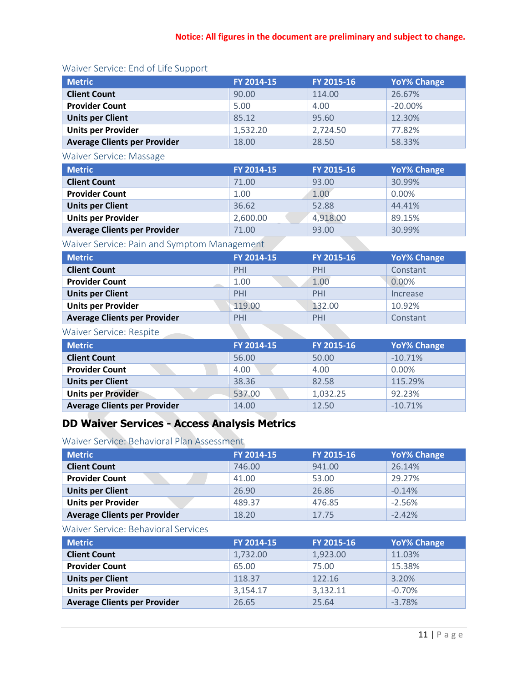# Waiver Service: End of Life Support

| <b>Metric</b>                       | FY 2014-15 | FY 2015-16 | <b>YoY% Change</b> |
|-------------------------------------|------------|------------|--------------------|
| <b>Client Count</b>                 | 90.00      | 114.00     | 26.67%             |
| <b>Provider Count</b>               | 5.00       | 4.00       | $-20.00\%$         |
| <b>Units per Client</b>             | 85.12      | 95.60      | 12.30%             |
| <b>Units per Provider</b>           | 1,532.20   | 2,724.50   | 77.82%             |
| <b>Average Clients per Provider</b> | 18.00      | 28.50      | 58.33%             |

#### Waiver Service: Massage

| <b>Metric</b>                       | FY 2014-15 | FY 2015-16 | <b>YoY% Change</b> |
|-------------------------------------|------------|------------|--------------------|
| <b>Client Count</b>                 | 71.00      | 93.00      | 30.99%             |
| <b>Provider Count</b>               | 1.00       | 1.00       | 0.00%              |
| <b>Units per Client</b>             | 36.62      | 52.88      | 44.41%             |
| <b>Units per Provider</b>           | 2,600.00   | 4,918.00   | 89.15%             |
| <b>Average Clients per Provider</b> | 71.00      | 93.00      | 30.99%             |

# Waiver Service: Pain and Symptom Management

| <b>Metric</b>                       | FY 2014-15 | FY 2015-16 | <b>YoY% Change</b> |
|-------------------------------------|------------|------------|--------------------|
| <b>Client Count</b>                 | PHI        | PHI        | Constant           |
| <b>Provider Count</b>               | 1.00       | 1.00       | 0.00%              |
| <b>Units per Client</b>             | PHI        | PHI        | Increase           |
| <b>Units per Provider</b>           | 119.00     | 132.00     | 10.92%             |
| <b>Average Clients per Provider</b> | PHI        | PHI        | Constant           |

### Waiver Service: Respite

| <b>Metric</b>                       | FY 2014-15 | FY 2015-16 | <b>YoY% Change</b> |
|-------------------------------------|------------|------------|--------------------|
| <b>Client Count</b>                 | 56.00      | 50.00      | $-10.71%$          |
| <b>Provider Count</b>               | 4.00       | 4.00       | 0.00%              |
| <b>Units per Client</b>             | 38.36      | 82.58      | 115.29%            |
| <b>Units per Provider</b>           | 537.00     | 1,032.25   | 92.23%             |
| <b>Average Clients per Provider</b> | 14.00      | 12.50      | $-10.71%$          |

# **DD Waiver Services - Access Analysis Metrics**

### Waiver Service: Behavioral Plan Assessment

| <b>Metric</b>                       | FY 2014-15 | FY 2015-16 | <b>YoY% Change</b> |
|-------------------------------------|------------|------------|--------------------|
| <b>Client Count</b>                 | 746.00     | 941.00     | 26.14%             |
| <b>Provider Count</b>               | 41.00      | 53.00      | 29.27%             |
| <b>Units per Client</b>             | 26.90      | 26.86      | $-0.14%$           |
| <b>Units per Provider</b>           | 489.37     | 476.85     | $-2.56%$           |
| <b>Average Clients per Provider</b> | 18.20      | 17.75      | $-2.42%$           |

#### Waiver Service: Behavioral Services

| <b>Metric</b>                       | FY 2014-15 | FY 2015-16 | <b>YoY% Change</b> |
|-------------------------------------|------------|------------|--------------------|
| <b>Client Count</b>                 | 1,732.00   | 1,923.00   | 11.03%             |
| <b>Provider Count</b>               | 65.00      | 75.00      | 15.38%             |
| <b>Units per Client</b>             | 118.37     | 122.16     | 3.20%              |
| <b>Units per Provider</b>           | 3,154.17   | 3,132.11   | $-0.70%$           |
| <b>Average Clients per Provider</b> | 26.65      | 25.64      | $-3.78%$           |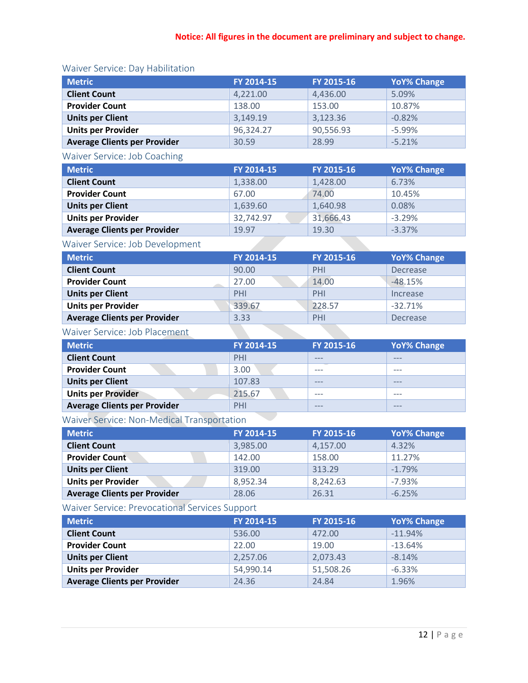# Waiver Service: Day Habilitation

| <b>Metric</b>                       | FY 2014-15 | FY 2015-16 | <b>YoY% Change</b> |
|-------------------------------------|------------|------------|--------------------|
| <b>Client Count</b>                 | 4,221.00   | 4,436.00   | 5.09%              |
| <b>Provider Count</b>               | 138.00     | 153.00     | 10.87%             |
| <b>Units per Client</b>             | 3,149.19   | 3,123.36   | $-0.82%$           |
| <b>Units per Provider</b>           | 96,324.27  | 90,556.93  | $-5.99%$           |
| <b>Average Clients per Provider</b> | 30.59      | 28.99      | $-5.21%$           |

# Waiver Service: Job Coaching

| <b>Metric</b>                       | <b>FY 2014-15</b> | FY 2015-16 | <b>YoY% Change</b> |
|-------------------------------------|-------------------|------------|--------------------|
| <b>Client Count</b>                 | 1,338.00          | 1,428.00   | 6.73%              |
| <b>Provider Count</b>               | 67.00             | 74.00      | 10.45%             |
| <b>Units per Client</b>             | 1,639.60          | 1,640.98   | 0.08%              |
| <b>Units per Provider</b>           | 32,742.97         | 31,666.43  | $-3.29%$           |
| <b>Average Clients per Provider</b> | 19.97             | 19.30      | $-3.37%$           |

# Waiver Service: Job Development

| <b>Metric</b>                       | FY 2014-15 | FY 2015-16 | <b>YoY% Change</b> |
|-------------------------------------|------------|------------|--------------------|
| <b>Client Count</b>                 | 90.00      | PHI        | Decrease           |
| <b>Provider Count</b>               | 27.00      | 14.00      | $-48.15%$          |
| <b>Units per Client</b>             | PHI        | PHI        | Increase           |
| <b>Units per Provider</b>           | 339.67     | 228.57     | $-32.71%$          |
| <b>Average Clients per Provider</b> | 3.33       | PHI        | Decrease           |

# Waiver Service: Job Placement

| <b>Metric</b>                              | FY 2014-15 | FY 2015-16 | <b>YoY% Change</b> |
|--------------------------------------------|------------|------------|--------------------|
| <b>Client Count</b>                        | PHI        | ---        | $- - -$            |
| <b>Provider Count</b>                      | 3.00       | ---        | $-- -$             |
| <b>Units per Client</b>                    | 107.83     | ---        | $---$              |
| <b>Units per Provider</b>                  | 215.67     | $- - -$    | $---$              |
| <b>Average Clients per Provider</b>        | PHI        |            | $- - -$            |
| Waiver Service: Non-Medical Transportation |            |            |                    |

# Waiver Service: Non-Medical Transportation

| <b>Metric</b>                       | FY 2014-15 | FY 2015-16 | <b>YoY% Change</b> |
|-------------------------------------|------------|------------|--------------------|
| <b>Client Count</b>                 | 3,985.00   | 4,157.00   | 4.32%              |
| <b>Provider Count</b>               | 142.00     | 158.00     | 11.27%             |
| <b>Units per Client</b>             | 319.00     | 313.29     | $-1.79%$           |
| <b>Units per Provider</b>           | 8,952.34   | 8,242.63   | $-7.93%$           |
| <b>Average Clients per Provider</b> | 28.06      | 26.31      | $-6.25%$           |

Waiver Service: Prevocational Services Support

| <b>Metric</b>                       | FY 2014-15 | FY 2015-16 | <b>YoY% Change</b> |
|-------------------------------------|------------|------------|--------------------|
| <b>Client Count</b>                 | 536.00     | 472.00     | $-11.94%$          |
| <b>Provider Count</b>               | 22.00      | 19.00      | $-13.64%$          |
| <b>Units per Client</b>             | 2,257.06   | 2,073.43   | $-8.14%$           |
| <b>Units per Provider</b>           | 54,990.14  | 51,508.26  | $-6.33%$           |
| <b>Average Clients per Provider</b> | 24.36      | 24.84      | 1.96%              |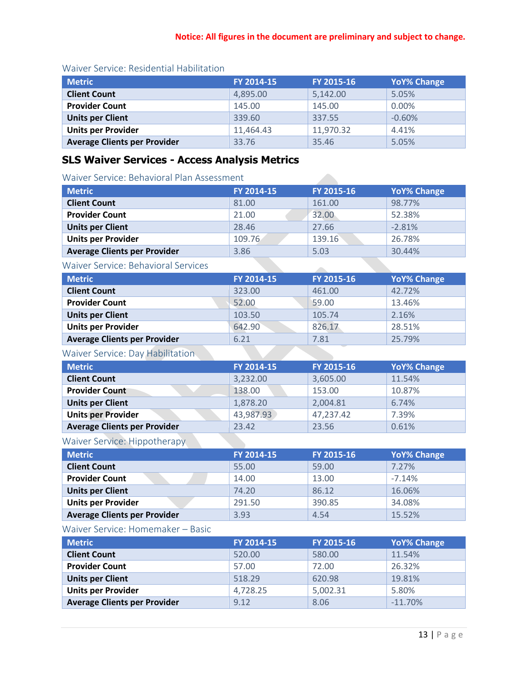| <b>Metric</b>                       | FY 2014-15 | FY 2015-16 | <b>YoY% Change</b> |
|-------------------------------------|------------|------------|--------------------|
| <b>Client Count</b>                 | 4,895.00   | 5,142.00   | 5.05%              |
| <b>Provider Count</b>               | 145.00     | 145.00     | 0.00%              |
| <b>Units per Client</b>             | 339.60     | 337.55     | $-0.60%$           |
| <b>Units per Provider</b>           | 11,464.43  | 11,970.32  | 4.41%              |
| <b>Average Clients per Provider</b> | 33.76      | 35.46      | 5.05%              |

# Waiver Service: Residential Habilitation

# **SLS Waiver Services - Access Analysis Metrics**

### Waiver Service: Behavioral Plan Assessment

| <b>Metric</b>                              | FY 2014-15 | FY 2015-16 | <b>YoY% Change</b> |
|--------------------------------------------|------------|------------|--------------------|
| <b>Client Count</b>                        | 81.00      | 161.00     | 98.77%             |
| <b>Provider Count</b>                      | 21.00      | 32.00      | 52.38%             |
| <b>Units per Client</b>                    | 28.46      | 27.66      | $-2.81%$           |
| <b>Units per Provider</b>                  | 109.76     | 139.16     | 26.78%             |
| <b>Average Clients per Provider</b>        | 3.86       | 5.03       | 30.44%             |
| <b>Waiver Service: Behavioral Services</b> |            |            |                    |
| <b>Metric</b>                              | FY 2014-15 | FY 2015-16 | <b>YoY% Change</b> |
| <b>Client Count</b>                        | 323.00     | 461.00     | 42.72%             |
| <b>Provider Count</b>                      | 52.00      | 59.00      | 13.46%             |
| <b>Units per Client</b>                    | 103.50     | 105.74     | 2.16%              |
| <b>Units per Provider</b>                  | 642.90     | 826.17     | 28.51%             |
| <b>Average Clients per Provider</b>        | 6.21       | 7.81       | 25.79%             |
| Waiver Service: Day Habilitation           |            |            |                    |
| <b>Metric</b>                              | FY 2014-15 | FY 2015-16 | <b>YoY% Change</b> |
| <b>Client Count</b>                        | 3,232.00   | 3,605.00   | 11.54%             |
| <b>Provider Count</b>                      | 138.00     | 153.00     | 10.87%             |
| <b>Units per Client</b>                    | 1,878.20   | 2,004.81   | 6.74%              |
| <b>Units per Provider</b>                  | 43,987.93  | 47,237.42  | 7.39%              |
| <b>Average Clients per Provider</b>        | 23.42      | 23.56      | 0.61%              |
| <b>Waiver Service: Hippotherapy</b>        |            |            |                    |
| <b>Metric</b>                              | FY 2014-15 | FY 2015-16 | <b>YoY% Change</b> |
| <b>Client Count</b>                        | 55.00      | 59.00      | 7.27%              |
| <b>Provider Count</b>                      | 14.00      | 13.00      | $-7.14%$           |
| <b>Units per Client</b>                    | 74.20      | 86.12      | 16.06%             |
| <b>Units per Provider</b>                  | 291.50     | 390.85     | 34.08%             |
| <b>Average Clients per Provider</b>        | 3.93       | 4.54       | 15.52%             |
| Waiver Service: Homemaker - Basic          |            |            |                    |
| <b>Metric</b>                              | FY 2014-15 | FY 2015-16 | <b>YoY% Change</b> |
| <b>Client Count</b>                        | 520.00     | 580.00     | 11.54%             |
| <b>Provider Count</b>                      | 57.00      | 72.00      | 26.32%             |
| <b>Units per Client</b>                    | 518.29     | 620.98     | 19.81%             |
| <b>Units per Provider</b>                  | 4,728.25   | 5,002.31   | 5.80%              |
| <b>Average Clients per Provider</b>        | 9.12       | 8.06       | $-11.70%$          |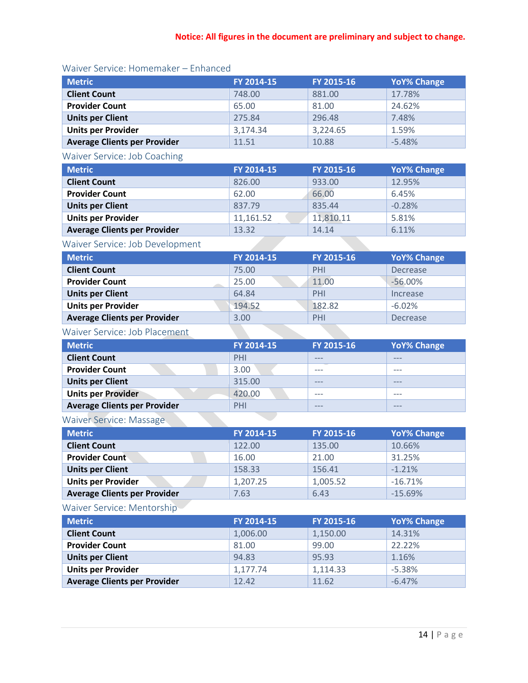| <b>Metric</b>                       | FY 2014-15 | FY 2015-16 | <b>YoY% Change</b> |
|-------------------------------------|------------|------------|--------------------|
| <b>Client Count</b>                 | 748.00     | 881.00     | 17.78%             |
| <b>Provider Count</b>               | 65.00      | 81.00      | 24.62%             |
| <b>Units per Client</b>             | 275.84     | 296.48     | 7.48%              |
| <b>Units per Provider</b>           | 3,174.34   | 3,224.65   | 1.59%              |
| <b>Average Clients per Provider</b> | 11.51      | 10.88      | $-5.48%$           |

### Waiver Service: Homemaker – Enhanced

# Waiver Service: Job Coaching

| <b>Metric</b>                       | FY 2014-15 | FY 2015-16 | <b>YoY% Change</b> |
|-------------------------------------|------------|------------|--------------------|
| <b>Client Count</b>                 | 826.00     | 933.00     | 12.95%             |
| <b>Provider Count</b>               | 62.00      | 66.00      | 6.45%              |
| <b>Units per Client</b>             | 837.79     | 835.44     | $-0.28%$           |
| <b>Units per Provider</b>           | 11,161.52  | 11,810.11  | 5.81%              |
| <b>Average Clients per Provider</b> | 13.32      | 14.14      | 6.11%              |

# Waiver Service: Job Development

| <b>Metric</b>                       | FY 2014-15 | FY 2015-16 | <b>YoY% Change</b> |
|-------------------------------------|------------|------------|--------------------|
| <b>Client Count</b>                 | 75.00      | PHI        | Decrease           |
| <b>Provider Count</b>               | 25.00      | 11.00      | $-56.00\%$         |
| <b>Units per Client</b>             | 64.84      | PHI        | Increase           |
| <b>Units per Provider</b>           | 194.52     | 182.82     | $-6.02%$           |
| <b>Average Clients per Provider</b> | 3.00       | PHI        | Decrease           |

### Waiver Service: Job Placement

| <b>Metric</b>                       | FY 2014-15 | FY 2015-16 | <b>YoY% Change</b> |
|-------------------------------------|------------|------------|--------------------|
| <b>Client Count</b>                 | PHI        | $- - -$    | $---$              |
| <b>Provider Count</b>               | 3.00       | $- - -$    | $- - -$            |
| <b>Units per Client</b>             | 315.00     | $---$      | $---$              |
| <b>Units per Provider</b>           | 420.00     | $- - -$    | $- - -$            |
| <b>Average Clients per Provider</b> | PHI        | $- - -$    | $- - -$            |

# Waiver Service: Massage

| <b>Metric</b>                       | FY 2014-15 | FY 2015-16 | <b>YoY% Change</b> |
|-------------------------------------|------------|------------|--------------------|
| <b>Client Count</b>                 | 122.00     | 135.00     | 10.66%             |
| <b>Provider Count</b>               | 16.00      | 21.00      | 31.25%             |
| <b>Units per Client</b>             | 158.33     | 156.41     | $-1.21%$           |
| <b>Units per Provider</b>           | 1,207.25   | 1,005.52   | $-16.71%$          |
| <b>Average Clients per Provider</b> | 7.63       | 6.43       | $-15.69%$          |

# Waiver Service: Mentorship

| <b>Metric</b>                       | FY 2014-15 | FY 2015-16 | <b>YoY% Change</b> |
|-------------------------------------|------------|------------|--------------------|
| <b>Client Count</b>                 | 1,006.00   | 1,150.00   | 14.31%             |
| <b>Provider Count</b>               | 81.00      | 99.00      | 22.22%             |
| <b>Units per Client</b>             | 94.83      | 95.93      | 1.16%              |
| <b>Units per Provider</b>           | 1,177.74   | 1,114.33   | $-5.38%$           |
| <b>Average Clients per Provider</b> | 12.42      | 11.62      | $-6.47%$           |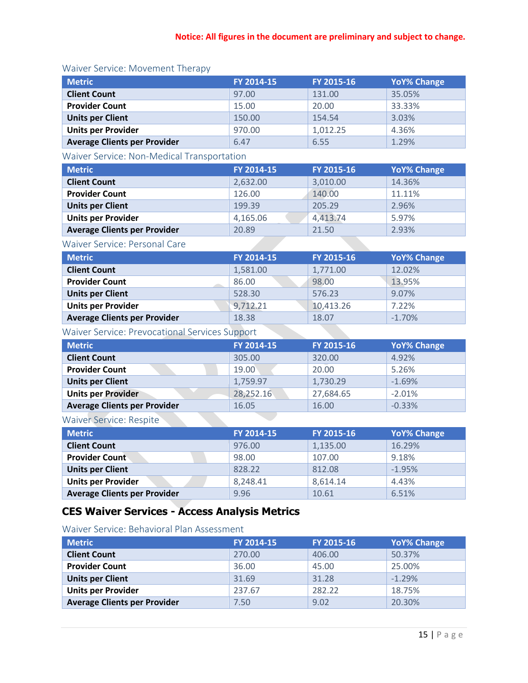| <b>Metric</b>                       | FY 2014-15 | FY 2015-16 | <b>YoY% Change</b> |
|-------------------------------------|------------|------------|--------------------|
| <b>Client Count</b>                 | 97.00      | 131.00     | 35.05%             |
| <b>Provider Count</b>               | 15.00      | 20.00      | 33.33%             |
| <b>Units per Client</b>             | 150.00     | 154.54     | 3.03%              |
| <b>Units per Provider</b>           | 970.00     | 1,012.25   | 4.36%              |
| <b>Average Clients per Provider</b> | 6.47       | 6.55       | 1.29%              |

#### Waiver Service: Movement Therapy

# Waiver Service: Non-Medical Transportation

| <b>Metric</b>                       | FY 2014-15 | FY 2015-16 | <b>YoY% Change</b> |
|-------------------------------------|------------|------------|--------------------|
| <b>Client Count</b>                 | 2,632.00   | 3,010.00   | 14.36%             |
| <b>Provider Count</b>               | 126.00     | 140.00     | 11.11%             |
| <b>Units per Client</b>             | 199.39     | 205.29     | 2.96%              |
| <b>Units per Provider</b>           | 4,165.06   | 4,413.74   | 5.97%              |
| <b>Average Clients per Provider</b> | 20.89      | 21.50      | 2.93%              |

#### Waiver Service: Personal Care

| <b>Metric</b>                       | FY 2014-15 | FY 2015-16 | <b>YoY% Change</b> |
|-------------------------------------|------------|------------|--------------------|
| <b>Client Count</b>                 | 1,581.00   | 1,771.00   | 12.02%             |
| <b>Provider Count</b>               | 86.00      | 98.00      | 13.95%             |
| <b>Units per Client</b>             | 528.30     | 576.23     | 9.07%              |
| <b>Units per Provider</b>           | 9,712.21   | 10,413.26  | 7.22%              |
| <b>Average Clients per Provider</b> | 18.38      | 18.07      | $-1.70%$           |

# Waiver Service: Prevocational Services Support

| <b>Metric</b>                       | FY 2014-15 | FY 2015-16 | <b>YoY% Change</b> |
|-------------------------------------|------------|------------|--------------------|
| <b>Client Count</b>                 | 305.00     | 320.00     | 4.92%              |
| <b>Provider Count</b>               | 19.00      | 20.00      | 5.26%              |
| <b>Units per Client</b>             | 1,759.97   | 1,730.29   | $-1.69%$           |
| <b>Units per Provider</b>           | 28,252.16  | 27,684.65  | $-2.01%$           |
| <b>Average Clients per Provider</b> | 16.05      | 16.00      | $-0.33%$           |

# Waiver Service: Respite

| <b>Metric</b>                       | FY 2014-15 | FY 2015-16 | <b>YoY% Change</b> |
|-------------------------------------|------------|------------|--------------------|
| <b>Client Count</b>                 | 976.00     | 1,135.00   | 16.29%             |
| <b>Provider Count</b>               | 98.00      | 107.00     | 9.18%              |
| <b>Units per Client</b>             | 828.22     | 812.08     | $-1.95%$           |
| <b>Units per Provider</b>           | 8,248.41   | 8,614.14   | 4.43%              |
| <b>Average Clients per Provider</b> | 9.96       | 10.61      | 6.51%              |

# **CES Waiver Services - Access Analysis Metrics**

#### Waiver Service: Behavioral Plan Assessment

| <b>Metric</b>                       | FY 2014-15 | FY 2015-16 | <b>YoY% Change</b> |
|-------------------------------------|------------|------------|--------------------|
| <b>Client Count</b>                 | 270.00     | 406.00     | 50.37%             |
| <b>Provider Count</b>               | 36.00      | 45.00      | 25.00%             |
| <b>Units per Client</b>             | 31.69      | 31.28      | $-1.29%$           |
| <b>Units per Provider</b>           | 237.67     | 282.22     | 18.75%             |
| <b>Average Clients per Provider</b> | 7.50       | 9.02       | 20.30%             |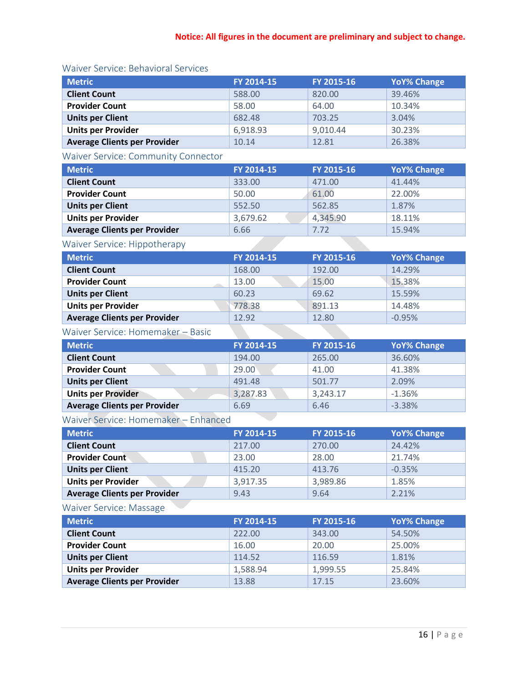| <b>Metric</b>                       | FY 2014-15 | FY 2015-16 | <b>YoY% Change</b> |
|-------------------------------------|------------|------------|--------------------|
| <b>Client Count</b>                 | 588.00     | 820.00     | 39.46%             |
| <b>Provider Count</b>               | 58.00      | 64.00      | 10.34%             |
| <b>Units per Client</b>             | 682.48     | 703.25     | 3.04%              |
| <b>Units per Provider</b>           | 6,918.93   | 9,010.44   | 30.23%             |
| <b>Average Clients per Provider</b> | 10.14      | 12.81      | 26.38%             |

# Waiver Service: Behavioral Services

# Waiver Service: Community Connector

| <b>Metric</b>                       | FY 2014-15 | FY 2015-16 | <b>YoY% Change</b> |
|-------------------------------------|------------|------------|--------------------|
| <b>Client Count</b>                 | 333.00     | 471.00     | 41.44%             |
| <b>Provider Count</b>               | 50.00      | 61.00      | 22.00%             |
| <b>Units per Client</b>             | 552.50     | 562.85     | 1.87%              |
| <b>Units per Provider</b>           | 3,679.62   | 4,345.90   | 18.11%             |
| <b>Average Clients per Provider</b> | 6.66       | 7.72       | 15.94%             |

# Waiver Service: Hippotherapy

| <b>Metric</b>                       | FY 2014-15 | FY 2015-16 | <b>YoY% Change</b> |
|-------------------------------------|------------|------------|--------------------|
| <b>Client Count</b>                 | 168.00     | 192.00     | 14.29%             |
| <b>Provider Count</b>               | 13.00      | 15.00      | 15.38%             |
| <b>Units per Client</b>             | 60.23      | 69.62      | 15.59%             |
| <b>Units per Provider</b>           | 778.38     | 891.13     | 14.48%             |
| <b>Average Clients per Provider</b> | 12.92      | 12.80      | $-0.95%$           |

# Waiver Service: Homemaker – Basic

| <b>Metric</b>                       | FY 2014-15 | FY 2015-16 | <b>YoY% Change</b> |
|-------------------------------------|------------|------------|--------------------|
| <b>Client Count</b>                 | 194.00     | 265.00     | 36.60%             |
| <b>Provider Count</b>               | 29.00      | 41.00      | 41.38%             |
| <b>Units per Client</b>             | 491.48     | 501.77     | 2.09%              |
| <b>Units per Provider</b>           | 3,287.83   | 3,243.17   | $-1.36%$           |
| <b>Average Clients per Provider</b> | 6.69       | 6.46       | $-3.38%$           |

# Waiver Service: Homemaker – Enhanced

| <b>Metric</b>                       | FY 2014-15 | FY 2015-16 | <b>YoY% Change</b> |
|-------------------------------------|------------|------------|--------------------|
| <b>Client Count</b>                 | 217.00     | 270.00     | 24.42%             |
| <b>Provider Count</b>               | 23.00      | 28.00      | 21.74%             |
| <b>Units per Client</b>             | 415.20     | 413.76     | $-0.35%$           |
| <b>Units per Provider</b>           | 3,917.35   | 3,989.86   | 1.85%              |
| <b>Average Clients per Provider</b> | 9.43       | 9.64       | 2.21%              |

# Waiver Service: Massage

| <b>Metric</b>                       | FY 2014-15 | FY 2015-16 | <b>YoY% Change</b> |
|-------------------------------------|------------|------------|--------------------|
| <b>Client Count</b>                 | 222.00     | 343.00     | 54.50%             |
| <b>Provider Count</b>               | 16.00      | 20.00      | 25.00%             |
| <b>Units per Client</b>             | 114.52     | 116.59     | 1.81%              |
| <b>Units per Provider</b>           | 1,588.94   | 1,999.55   | 25.84%             |
| <b>Average Clients per Provider</b> | 13.88      | 17.15      | 23.60%             |